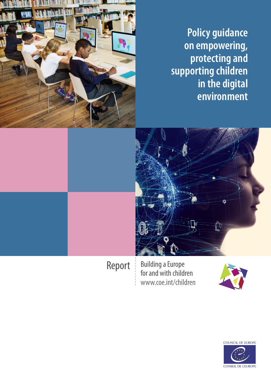**Policy guidance on empowering, protecting and supporting children in the digital environment**



Report Building a Europe for and with children www.coe.int/children



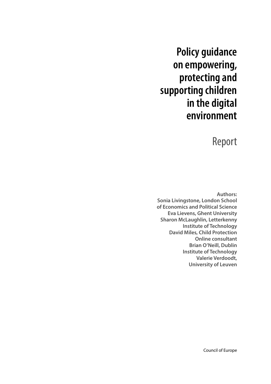# **Policy guidance on empowering, protecting and supporting children in the digital environment**

## Report

**Authors: Sonia Livingstone, London School of Economics and Political Science Eva Lievens, Ghent University Sharon McLaughlin, Letterkenny Institute of Technology David Miles, Child Protection Online consultant Brian O'Neill, Dublin Institute of Technology Valerie Verdoodt, University of Leuven**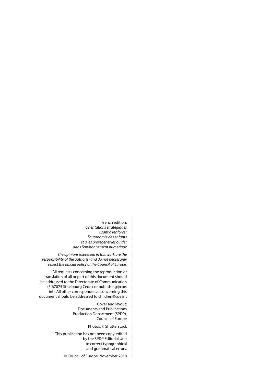French edition: *Orientations stratégiques visant à renforcer l'autonomie des enfants et à les protéger et les guider dans l'environnement numérique*

*The opinions expressed in this work are the responsibility of the author(s) and do not necessarily reflect the official policy of the Council of Europe.* 

All requests concerning the reproduction or translation of all or part of this document should be addressed to the Directorate of Communication (F-67075 Strasbourg Cedex or publishing@coe. int). All other correspondence concerning this document should be addressed to children@coe.int

> Cover and layout: Documents and Publications Production Department (SPDP), Council of Europe

> > Photos: © Shutterstock

This publication has not been copy-edited by the SPDP Editorial Unit to correct typographical and grammatical errors.

© Council of Europe, November 2018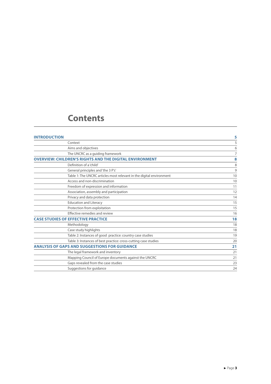## **Contents**

| <b>INTRODUCTION</b>                                            |                                                                      | 5  |
|----------------------------------------------------------------|----------------------------------------------------------------------|----|
|                                                                | Context                                                              | 5  |
|                                                                | Aims and objectives                                                  | 6  |
|                                                                | The UNCRC as a quiding framework                                     | 7  |
| <b>OVERVIEW: CHILDREN'S RIGHTS AND THE DIGITAL ENVIRONMENT</b> | 8                                                                    |    |
|                                                                | Definition of a 'child'                                              | 8  |
|                                                                | General principles and 'the 3 P's'                                   | 9  |
|                                                                | Table 1: The UNCRC articles most relevant in the digital environment | 10 |
|                                                                | Access and non-discrimination                                        | 10 |
|                                                                | Freedom of expression and information                                | 11 |
|                                                                | Association, assembly and participation                              | 12 |
|                                                                | Privacy and data protection                                          | 14 |
|                                                                | <b>Education and Literacy</b>                                        | 15 |
|                                                                | Protection from exploitation                                         | 15 |
|                                                                | Effective remedies and review                                        | 16 |
| <b>CASE STUDIES OF EFFECTIVE PRACTICE</b>                      |                                                                      | 18 |
|                                                                | Methodology                                                          | 18 |
|                                                                | Case study highlights                                                | 18 |
|                                                                | Table 2: Instances of good practice: country case studies            | 19 |
|                                                                | Table 3: Instances of best practice: cross-cutting case studies      | 20 |
|                                                                | <b>ANALYSIS OF GAPS AND SUGGESTIONS FOR GUIDANCE</b>                 | 21 |
|                                                                | The legal framework and inventory                                    | 21 |
|                                                                | Mapping Council of Europe documents against the UNCRC                | 21 |
|                                                                | Gaps revealed from the case studies                                  | 23 |
|                                                                | Suggestions for guidance                                             | 24 |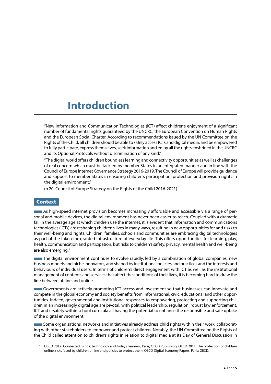## <span id="page-5-0"></span>**Introduction**

"New Information and Communication Technologies (ICT) affect children's enjoyment of a significant number of fundamental rights guaranteed by the UNCRC, the European Convention on Human Rights and the European Social Charter. According to recommendations issued by the UN Committee on the Rights of the Child, all children should be able to safely access ICTs and digital media, and be empowered to fully participate, express themselves, seek information and enjoy all the rights enshrined in the UNCRC and its Optional Protocols without discrimination of any kind."

"The digital world offers children boundless learning and connectivity opportunities as well as challenges of real concern which must be tackled by member States in an integrated manner and in line with the Council of Europe Internet Governance Strategy 2016-2019. The Council of Europe will provide guidance and support to member States in ensuring children's participation, protection and provision rights in the digital environment."

(p.20, Council of Europe Strategy on the Rights of the Child 2016-2021)

## Context

**As high-speed internet provision becomes increasingly affordable and accessible via a range of per**sonal and mobile devices, the digital environment has never been easier to reach. Coupled with a dramatic fall in the average age at which children use the internet, it is evident that information and communications technologies (ICTs) are reshaping children's lives in many ways, resulting in new opportunities for and risks to their well-being and rights. Children, families, schools and communities are embracing digital technologies as part of the taken-for-granted infrastructure of everyday life. This offers opportunities for learning, play, health, communication and participation, but risks to children's safety, privacy, mental health and well-being are also emerging.<sup>1</sup>

■The digital environment continues to evolve rapidly, led by a combination of global companies, new business models and niche innovators, and shaped by institutional policies and practices and the interests and behaviours of individual users. In terms of children's direct engagement with ICT as well as the institutional management of contents and services that affect the conditions of their lives, it is becoming hard to draw the line between offline and online.

Governments are actively promoting ICT access and investment so that businesses can innovate and compete in the global economy and society benefits from informational, civic, educational and other opportunities. Indeed, governmental and institutional responses to empowering, protecting and supporting children in an increasingly digital age are pivotal, with political leadership, regulation, robust law enforcement, ICT and e-safety within school curricula all having the potential to enhance the responsible and safe uptake of the digital environment.

■Some organisations, networks and initiatives already address child rights within their work, collaborating with other stakeholders to empower and protect children. Notably, the UN Committee on the Rights of the Child called attention to children's rights in relation to digital media at its Day of General Discussion in

<sup>1.</sup> OECD 2012. Connected minds: technology and today's learners, Paris, OECD Publishing. OECD 2011. The protection of children online: risks faced by children online and policies to protect them. OECD Digital Economy Papers. Paris: OECD.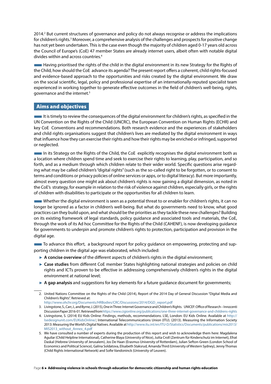<span id="page-6-0"></span>2014.<sup>2</sup> But current structures of governance and policy do not always recognise or address the implications for children's rights.<sup>3</sup> Moreover, a comprehensive analysis of the challenges and prospects for positive change has not yet been undertaken. This is the case even though the majority of children aged 0-17 years old across the Council of Europe's (CoE) 47 member States are already internet users, albeit often with notable digital divides within and across countries.4

■Having prioritised the rights of the child in the digital environment in its new Strategy for the Rights of the Child, how should the CoE advance its agenda? The present report offers a coherent, child rights-focused and evidence-based approach to the opportunities and risks created by the digital environment. We draw on the social scientific, legal, policy and professional expertise of an internationally-reputed specialist team experienced in working together to generate effective outcomes in the field of children's well-being, rights, governance and the internet.5

## Aims and objectives

■It is timely to review the consequences of the digital environment for children's rights, as specified in the UN Convention on the Rights of the Child (UNCRC), the European Convention on Human Rights (ECHR) and key CoE Conventions and recommendations. Both research evidence and the experiences of stakeholders and child rights organisations suggest that children's lives are mediated by the digital environment in ways that influence how they can exercise their rights and how their rights may be enriched or infringed, supported or neglected.

■In its Strategy on the Rights of the Child, the CoE explicitly recognises the digital environment both as a location where children spend time and seek to exercise their rights to learning, play, participation, and so forth, and as a medium through which children relate to their wider world. Specific questions arise regarding what may be called children's "digital rights" (such as the so-called right to be forgotten, or to consent to terms and conditions or privacy policies of online services or apps, or to digital literacy). But more importantly, almost every question one might ask about children's rights is now gaining a digital dimension, as noted in the CoE's strategy, for example in relation to the risk of violence against children, especially girls, or the rights of children with disabilities to participate or the opportunities for all children to learn.

■Whether the digital environment is seen as a potential threat to or enabler for children's rights, it can no longer be ignored as a factor in children's well-being. But what do governments need to know, what good practices can they build upon, and what should be the priorities as they tackle these new challenges? Building on its existing framework of legal standards, policy guidance and associated tools and materials, the CoE, through the work of its Ad hoc Committee for the Rights of the Child (CAHENF), is now developing guidance for governments to underpin and promote children's rights to protection, participation and provision in the digital age.

■To advance this effort, a background report for policy guidance on empowering, protecting and supporting children in the digital age was elaborated, which included:

- ► **A concise overview** of the different aspects of children's rights in the digital environment;
- ► **Case studies** from different CoE member States highlighting national strategies and policies on child rights and ICTs proven to be effective in addressing comprehensively children's rights in the digital environment at national level;
- ► **A gap analysis** and suggestions for key elements for a future guidance document for governments;

<sup>2.</sup> United Nations Committee on the Rights of the Child (2014), Report of the 2014 Day of General Discussion "Digital Media and Children's Rights". Retrieved at:

[http://www.ohchr.org/Documents/HRBodies/CRC/Discussions/2014/DGD\\_report.pdf](http://www.ohchr.org/Documents/HRBodies/CRC/Discussions/2014/DGD_report.pdf)

<sup>3.</sup> Livingstone, S., Carr, J., and Byrne, J. (2015), One in Three: Internet Governance and Children's Rights. UNICEF: Office of Research – Innocenti Discussion Paper 2016-01. Retrieved from<https://www.cigionline.org/publications/one-three-internet-governance-and-childrens-rights>

<sup>4.</sup> Livingstone, S. (2014) EU Kids Online: Findings, methods, recommendations. LSE, London: EU Kids Online. Available at [http://](http://lsedesignunit.com/EUKidsOnline/) [lsedesignunit.com/EUKidsOnline/;](http://lsedesignunit.com/EUKidsOnline/) International Telecommunications Union (ITU). (2013). Measuring the Information Society 2013: Measuring the World's Digital Natives. Available at http://www.itu.int/en/ITU-D/Statistics/Documents/publications/mis2013/ MIS2013\_without\_Annex\_4.pdf

<sup>5.</sup> We have consulted a number of experts during the production of this report and wish to acknowledge them here: Magdalena Aguilar (Child Helpline International), Catherine Blaya (University of Nice), Jutta Croll (Zentrum für Kinderschutz im Internet), Efrat Daskal (Hebrew University of Jerusalem), Jos De Haan (Erasmus University of Rotterdam), Julian Sefton-Green (London School of Economics and Political Science), Galina Soldatova, Elisabeth Staksrud, Amanda Third (University of Western Sydney), Jenny Thomas (Child Rights International Network) and Sofie Vandoninck (University of Leuven).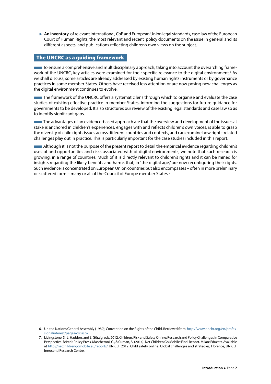<span id="page-7-0"></span>► An inventory of relevant international, CoE and European Union legal standards, case law of the European Court of Human Rights, the most relevant and recent policy documents on the issue in general and its different aspects, and publications reflecting children's own views on the subject.

## The UNCRC as a guiding framework

■To ensure a comprehensive and multidisciplinary approach, taking into account the overarching framework of the UNCRC, key articles were examined for their specific relevance to the digital environment.<sup>6</sup> As we shall discuss, some articles are already addressed by existing human rights instruments or by governance practices in some member States. Others have received less attention or are now posing new challenges as the digital environment continues to evolve.

■The framework of the UNCRC offers a systematic lens through which to organise and evaluate the case studies of existing effective practice in member States, informing the suggestions for future guidance for governments to be developed. It also structures our review of the existing legal standards and case law so as to identify significant gaps.

The advantages of an evidence-based approach are that the overview and development of the issues at stake is anchored in children's experiences, engages with and reflects children's own voices, is able to grasp the diversity of child rights issues across different countries and contexts, and can examine how rights-related challenges play out in practice. This is particularly important for the case studies included in this report.

■Although it is not the purpose of the present report to detail the empirical evidence regarding children's uses of and opportunities and risks associated with of digital environments, we note that such research is growing, in a range of countries. Much of it is directly relevant to children's rights and it can be mined for insights regarding the likely benefits and harms that, in "the digital age," are now reconfiguring their rights. Such evidence is concentrated on European Union countries but also encompasses – often in more preliminary or scattered form – many or all of the Council of Europe member States. <sup>7</sup>

<sup>6.</sup> United Nations General Assembly (1989), Convention on the Rights of the Child. Retrieved from: [http://www.ohchr.org/en/profes](http://www.ohchr.org/en/professionalinterest/pages/crc.aspx)[sionalinterest/pages/crc.aspx](http://www.ohchr.org/en/professionalinterest/pages/crc.aspx)

<sup>7.</sup> Livingstone, S., L. Haddon, and E. Görzig, eds. 2012. Children, Risk and Safety Online: Research and Policy Challenges in Comparative Perspective. Bristol: Policy Press. Mascheroni, G., & Cuman, A. (2014). Net Children Go Mobile: Final Report. Milan: Educatt. Available at <http://netchildrengomobile.eu/reports/> UNICEF 2012. Child safety online: Global challenges and strategies, Florence, UNICEF Innocenti Research Centre.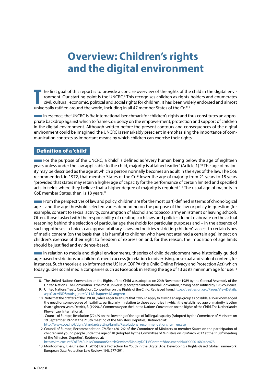## <span id="page-8-0"></span>**Overview: Children's rights and the digital environment**

The first goal of this report is to provide a concise overview of the rights of the romment. Our starting point is the UNCRC.<sup>8</sup> This recognises children as rights civil, cultural, economic, political and social rights for he first goal of this report is to provide a concise overview of the rights of the child in the digital environment. Our starting point is the UNCRC.<sup>8</sup> This recognises children as rights-holders and enumerates civil, cultural, economic, political and social rights for children. It has been widely endorsed and almost

■In essence, the UNCRC is *the* international benchmark for children's rights and thus constitutes an appropriate backdrop against which to frame CoE policy on the empowerment, protection and support of children in the digital environment. Although written before the present contours and consequences of the digital environment could be imagined, the UNCRC is remarkably prescient in emphasising the importance of communication contexts as important means by which children can exercise their rights.

## Definition of a 'child'

**EXECUTE:** For the purpose of the UNCRC, a 'child' is defined as "every human being below the age of eighteen years unless under the law applicable to the child, majority is attained earlier" (Article 1).<sup>10</sup> The age of majority may be described as the age at which a person normally becomes an adult in the eyes of the law. The CoE recommended, in 1972, that member States of the CoE lower the age of majority from 21 years to 18 years "provided that states may retain a higher age of capacity for the performance of certain limited and specified acts in fields where they believe that a higher degree of majority is required."<sup>11</sup> The usual age of majority in CoE member States, then, is 18 years.12

**Example 1** From the perspectives of law and policy, children are (for the most part) defined in terms of chronological age – and the age threshold selected varies depending on the purpose of the law or policy in question (for example, consent to sexual activity, consumption of alcohol and tobacco, army enlistment or leaving school). Often, those tasked with the responsibility of creating such laws and policies do not elaborate on the actual reasoning behind the selection of particular age thresholds for particular purposes and – in the absence of such hypotheses – choices can appear arbitrary. Laws and policies restricting children's access to certain types of media content (on the basis that it is harmful to children who have not attained a certain age) impact on children's exercise of their right to freedom of expression and, for this reason, the imposition of age limits should be justified and evidence-based.

■In relation to media and digital environments, theories of child development have historically guided age-based restrictions on children's media access (in relation to advertising, or sexual and violent content, for instance). Such theories also informed the US law, COPPA (the Child Online Privacy and Protection Act) which today guides social media companies such as Facebook in setting the age of 13 as its minimum age for use.<sup>13</sup>

10. Note that the drafters of the UNCRC, while eager to ensure that it would apply to as wide an age group as possible, also acknowledged the need for some degree of flexibility, particularly in relation to those countries in which the established age of majority is other than eighteen years. Detrick, S. (1999), A Commentary on the United Nations Convention on the Rights of the Child. The Netherlands: Kluwer Law International.

11. Council of Europe, Resolution (72) 29 on the lowering of the age of full legal capacity (Adopted by the Committee of Ministers on 19 September 1972 at the 213th meeting of the Ministers' Deputies). Retrieved at:

[http://www.coe.int/t/dghl/standardsetting/family/Resolutions\\_recommendations\\_cm\\_en.asp](http://www.coe.int/t/dghl/standardsetting/family/Resolutions_recommendations_cm_en.asp) 12. Council of Europe, Recommendation CM/Rec (2012)2 of the Committee of Ministers to member States on the participation of children and young people under the age of 18 (Adopted by the Committee of Ministers on 28 March 2012 at the 1138<sup>th</sup> meeting

of the Ministers' Deputies). Retrieved at: <https://rm.coe.int/CoERMPublicCommonSearchServices/DisplayDCTMContent?documentId=090000168046c478>

13. Montgomery, K. & Chester, J. (2015) 'Data Protection for Youth in the Digital Age: Developing a Rights-Based Global Framework' European Data Protection Law Review, 1(4), 277-291.

<sup>8.</sup> The United Nations Convention on the Rights of the Child was adopted on 20th November 1989 by the General Assembly of the United Nations. The Convention is the most universally accepted international Convention, having been ratified by 196 countries. 9. United Nations Treaty Collection, Convention on the Rights of the Child. Retrieved from: [https://treaties.un.org/Pages/ViewDetails.](https://treaties.un.org/Pages/ViewDetails.aspx?src=IND&mtdsg_no=IV-11&chapter=4&lang=en)

[aspx?src=IND&mtdsg\\_no=IV-11&chapter=4&lang=en](https://treaties.un.org/Pages/ViewDetails.aspx?src=IND&mtdsg_no=IV-11&chapter=4&lang=en)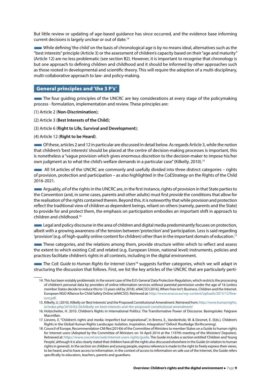<span id="page-9-0"></span>But little review or updating of age-based guidance has since occurred, and the evidence base informing current decisions is largely unclear or out of date.14

■While defining 'the child' on the basis of chronological age is by no means ideal, alternatives such as the "best interests" principle (Article 3) or the assessment of children's capacity based on their "age and maturity" (Article 12) are no less problematic (see section B2). However, it is important to recognise that chronology is but one approach to defining children and childhood and it should be informed by other approaches such as those rooted in developmental and scientific theory. This will require the adoption of a multi-disciplinary, multi-collaborative approach to law- and policy-making.

## General principles and 'the 3 P's'

■The four guiding principles of the UNCRC are key considerations at every stage of the policymaking process - formulation, implementation and review. These principles are:

(1) Article 2 (**Non-Discrimination**);

(2) Article 3 (**Best Interests of the Child**);

(3) Article 6 (**Right to Life, Survival and Development**);

(4) Article 12 (**Right to be Heard**).

■Of these, articles 2 and 12 in particular are discussed in detail below. As regards Article 3, while the notion that children's 'best interests' should be placed at the centre of decision-making processes is important, this is nonetheless a "vague provision which gives enormous discretion to the decision-maker to impose his/her own judgment as to what the child's welfare demands in a particular case" (Kilkelly, 2010).<sup>15</sup>

**EXECUTE:** All 54 articles of the UNCRC are commonly and usefully divided into three distinct categories – rights of provision, protection and participation – as also highlighted in the CoEStrategy on the Rights of the Child 2016-2021.

■Arguably, *all* of the rights in the UNCRC are, in the first instance, rights of provision in that State parties to the Convention (and, in some cases, parents and other adults) must first *provide* the conditions that allow for the realisation of the rights contained therein. Beyond this, it is noteworthy that while provision and protection reflect the traditional view of children as dependent beings, reliant on others (namely, parents and the State) to provide for and protect them, the emphasis on participation embodies an important shift in approach to children and childhood.16

■Legal and policy discourse in the area of children and digital media predominantly focuses on protection, albeit with a growing awareness of the tension between 'protection' and 'participation. Less is said regarding 'provision' (e.g. of high-quality online content for children) other than in the important domain of education.<sup>17</sup>

■These categories, and the relations among them, provide structure within which to reflect and assess the extent to which existing CoE and related (e.g. European Union, national level) instruments, policies and practices facilitate children's rights in all contexts, including in the digital environment.

**The CoE Guide to Human Rights for Internet Users<sup>18</sup> suggests further categories, which we will adapt in** structuring the discussion that follows. First, we list the key articles of the UNCRC that are particularly perti-

- 17. Lievens, E. "Children's rights and media: imperfect but inspirational", in Brems, E., Vandenhole, W. & Desmet, E. (Eds.), Children's Rights in the Global Human Rights Landscape: Isolation, Inspiration, Integration? Oxford: Routledge (forthcoming).
- 18. Council of Europe, Recommendation CM/Rec(2014)6 of the Committee of Ministers to member States on a Guide to human rights for Internet users (Adopted by the Committee of Ministers on 16 April 2014 at the 1197th meeting of the Ministers' Deputies). Retrieved at: [https://www.coe.int/en/web/internet-users-rights/guide.](https://www.coe.int/en/web/internet-users-rights/guide) The Guide includes a section entitled 'Children and Young People', although it is also clearly stated that children have all the rights also discussed elsewhere in the Guide (in relation to human rights in general). In the section on children and young people, express reference is made to the right to freely express their views, to be heard, and to have access to information. In the context of access to information on safe use of the Internet, the Guide refers specifically to educators, teachers, parents and guardians.

<sup>14.</sup> This has been notably problematic in the recent case of the EU's General Data Protection Regulation, which restricts the processing of children's personal data by providers of online information services without parental permission under the age of 16 (unless member States decide to reduce this to 13 years old by 2018). eNACSO (2016), When Free Isn't: Business, Children and the Internet. European NGO Alliance for Child Safety Online (eNACSO). Retrieved at: [http://www.enacso.eu/wp-content/uploads/2015/12/free](http://www.enacso.eu/wp-content/uploads/2015/12/free-isnt.pdf)[isnt.pdf.](http://www.enacso.eu/wp-content/uploads/2015/12/free-isnt.pdf)

<sup>15.</sup> Kilkelly, U. (2010), Kilkelly on 'Best Interests' and the Proposed Constitutional Amendment. Retrieved from: [http://www.humanrights.](http://www.humanrights.ie/index.php/2010/02/26/kilkelly-on-best-interests-and-the-proposed-constitutional-amendment/) [ie/index.php/2010/02/26/kilkelly-on-best-interests-and-the-proposed-constitutional-amendment/](http://www.humanrights.ie/index.php/2010/02/26/kilkelly-on-best-interests-and-the-proposed-constitutional-amendment/)

<sup>16.</sup> Holzscheiter, H. 2010. Children's Rights in International Politics: The Transformative Power of Discourse. Basingstoke: Palgrave Macmillan.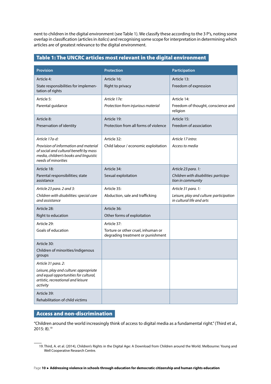<span id="page-10-0"></span>nent to children in the digital environment (see Table 1). We classify these according to the 3 P's, noting some overlap in classification (articles in *italics*) and recognising some scope for interpretation in determining which articles are of greatest relevance to the digital environment.

## Table 1: The UNCRC articles most relevant in the digital environment

| <b>Provision</b>                                                                                                                                 | <b>Protection</b>                                                       | Participation                                                         |
|--------------------------------------------------------------------------------------------------------------------------------------------------|-------------------------------------------------------------------------|-----------------------------------------------------------------------|
| Article 4:                                                                                                                                       | Article 16:                                                             | Article 13:                                                           |
| State responsibilities for implemen-<br>tation of rights                                                                                         | Right to privacy                                                        | Freedom of expression                                                 |
| Article 5:                                                                                                                                       | Article 17e:                                                            | Article 14:                                                           |
| Parental guidance                                                                                                                                | Protection from injurious material                                      | Freedom of thought, conscience and<br>religion                        |
| Article 8:                                                                                                                                       | Article 19:                                                             | Article 15:                                                           |
| Preservation of identity                                                                                                                         | Protection from all forms of violence                                   | Freedom of association                                                |
| Article 17a-d:                                                                                                                                   | Article 32:                                                             | Article 17 intro:                                                     |
| Provision of information and material<br>of social and cultural benefit by mass<br>media, children's books and linguistic<br>needs of minorities | Child labour / economic exploitation                                    | Access to media                                                       |
| Article 18:                                                                                                                                      | Article 34:                                                             | Article 23 para. 1:                                                   |
| Parental responsibilities; state<br>assistance                                                                                                   | Sexual exploitation                                                     | Children with disabilities: participa-<br>tion in community           |
| Article 23 para. 2 and 3:                                                                                                                        | Article 35:                                                             | Article 31 para. 1:                                                   |
| Children with disabilities: special care<br>and assistance                                                                                       | Abduction, sale and trafficking                                         | Leisure, play and culture: participation<br>in cultural life and arts |
| Article 28:                                                                                                                                      | Article 36:                                                             |                                                                       |
| Right to education                                                                                                                               | Other forms of exploitation                                             |                                                                       |
| Article 29:                                                                                                                                      | Article 37:                                                             |                                                                       |
| Goals of education                                                                                                                               | Torture or other cruel, inhuman or<br>degrading treatment or punishment |                                                                       |
| Article 30:                                                                                                                                      |                                                                         |                                                                       |
| Children of minorities/indigenous<br>groups                                                                                                      |                                                                         |                                                                       |
| Article 31 para. 2:                                                                                                                              |                                                                         |                                                                       |
| Leisure, play and culture: appropriate<br>and equal opportunities for cultural,<br>artistic, recreational and leisure<br>activity                |                                                                         |                                                                       |
| Article 39:                                                                                                                                      |                                                                         |                                                                       |
| Rehabilitation of child victims                                                                                                                  |                                                                         |                                                                       |

## Access and non-discrimination

"Children around the world increasingly think of access to digital media as a fundamental right." (Third et al., 2015: 8).19

<sup>19.</sup> Third, A. et al. (2014), Children's Rights in the Digital Age: A Download from Children around the World. Melbourne: Young and Well Cooperative Research Centre.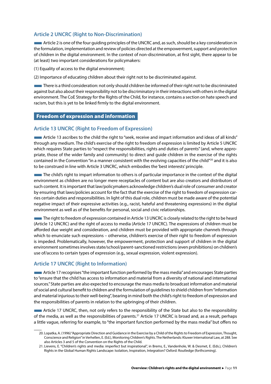## <span id="page-11-0"></span>**Article 2 UNCRC (Right to Non-Discrimination)**

■Article 2 is one of the four guiding principles of the UNCRC and, as such, should be a key consideration in the formulation, implementation and review of policies directed at the empowerment, support and protection of children in the digital environment. In the context of non-discrimination, at first sight, there appear to be (at least) two important considerations for policymakers:

(1) Equality of access to the digital environment;

(2) Importance of educating children about their right not to be discriminated against.

■There is a third consideration: not only should children be informed of their right not to be discriminated against but also about their responsibility not to be discriminatory in their interactions with others in the digital environment. The CoE Strategy for the Rights of the Child, for instance, contains a section on hate speech and racism, but this is yet to be linked firmly to the digital environment.

## Freedom of expression and information

### **Article 13 UNCRC (Right to Freedom of Expression)**

■Article 13 ascribes to the child the right to "seek, receive and impart information and ideas of all kinds" through any medium. The child's exercise of the right to freedom of expression is limited by Article 5 UNCRC which requires State parties to "respect the responsibilities, rights and duties of parents" (and, where appropriate, those of the wider family and community) to direct and guide children in the exercise of the rights contained in the Convention "in a manner consistent with the evolving capacities of the child"<sup>20</sup> and it is also to be construed in line with Article 3 UNCRC, which embodies the 'best interests' principle.

The child's right to impart information to others is of particular importance in the context of the digital environment as children are no longer mere receptacles of content but are also creators and distributors of such content. It is important that law/policymakers acknowledge children's dual role of consumer and creator by ensuring that laws/policies account for the fact that the exercise of the right to freedom of expression carries certain duties and responsibilities. In light of this dual role, children must be made aware of the potential negative impact of their expressive activities (e.g., racist, hateful and threatening expressions) in the digital environment as well as of the benefits for personal, social and civic relationships.

■The right to freedom of expression contained in Article 13 UNCRC is closely related to the right to be heard (Article 12 UNCRC) and the right of access to media (Article 17 UNCRC). The expressions of children must be afforded due weight and consideration, and children must be provided with appropriate channels through which to enunciate such expressions – otherwise, children's exercise of their right to freedom of expression is impeded. Problematically, however, the empowerment, protection and support of children in the digital environment sometimes involves state/school/parent-sanctioned restrictions (even prohibitions) on children's use of/access to certain types of expression (e.g., sexual expression, violent expression).

## **Article 17 UNCRC (Right to Information)**

■Article 17 recognises "the important function performed by the mass media" and encourages State parties to "ensure that the child has access to information and material from a diversity of national and international sources." State parties are also expected to encourage the mass media to broadcast information and material of social and cultural benefit to children and the formulation of guidelines to shield children from "information and material injurious to their well-being", bearing in mind both the child's right to freedom of expression and the responsibilities of parents in relation to the upbringing of their children.

■Article 17 UNCRC, then, not only refers to the responsibility of the State but also to the responsibility of the media, as well as the responsibilities of parents.21 Article 17 UNCRC is broad and, as a result, perhaps a little vague, referring for example, to "the important function performed by the mass media" but offers no

<sup>20.</sup> Lopatka, A. (1996) "Appropriate Direction and Guidance in the Exercise by a Child of the Rights to Freedom of Expression, Thought, Conscience and Religion" in Verhellen, E. (Ed.), Monitoring Children's Rights. The Netherlands: Kluwer International Law, at 288. See also Articles 3 and 5 of the Convention on the Rights of the Child.

<sup>21.</sup> Lievens, E. "Children's rights and media: imperfect but inspirational", in Brems, E., Vandenhole, W. & Desmet, E. (Eds.), Children's Rights in the Global Human Rights Landscape: Isolation, Inspiration, Integration? Oxford: Routledge (forthcoming).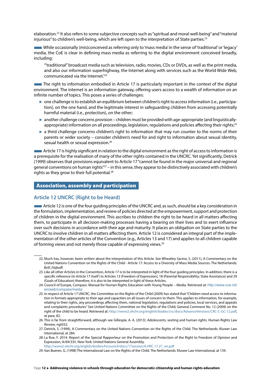<span id="page-12-0"></span>elaboration.22 It also refers to some subjective concepts such as "spiritual and moral well-being" and "material injurious" to children's well-being, which are left open to the interpretation of State parties.<sup>23</sup>

■While occasionally (mis)conceived as referring only to 'mass media' in the sense of 'traditional' or 'legacy' media, the CoE is clear in defining mass media as referring to the digital environment conceived broadly, including:

'"traditional" broadcast media such as television, radio, movies, CDs or DVDs, as well as the print media, and also our information superhighway, the Internet along with services such as the World Wide Web, communicated via the Internet.'24

**The right to information embodied in Article 17 is particularly important in the context of the digital** environment. The internet is an information gateway, offering users access to a wealth of information on an infinite number of topics. This poses a series of challenges:

- ► one challenge is to establish an equilibrium between children's right to access information (i.e., participation), on the one hand, and the legitimate interest in safeguarding children from accessing potentially harmful material (i.e., protection), on the other;
- ► another challenge concerns provision children must be provided with age-appropriate (and linguisticallyappropriate) information on all proceedings, legislation, regulations and policies affecting their rights;<sup>25</sup>
- ► a third challenge concerns children's right to information that may run counter to the norms of their parents or wider society – consider children's need for and right to information about sexual identity, sexual health or sexual expression.<sup>26</sup>

■Article 17 is highly significant in relation to the digital environment as the right of access to information is a prerequisite for the realisation of many of the other rights contained in the UNCRC. Yet significantly, Detrick (1999) observes that provisions equivalent to Article 17 "cannot be found in the major universal and regional general conventions on human rights"<sup>27</sup> – in this sense, they appear to be distinctively associated with children's rights as they grow to their full potential.<sup>28</sup>

## Association, assembly and participation

## **Article 12 UNCRC (Right to be Heard)**

■Article 12 is one of the four guiding principles of the UNCRC and, as such, should be a key consideration in the formulation, implementation, and review of policies directed at the empowerment, support and protection of children in the digital environment. This ascribes to children the right to be heard in all matters affecting them, to participate in all decision-making processes having a bearing on their lives and to exert influence over such decisions in accordance with their age and maturity. It places an obligation on State parties to the UNCRC to involve children in all matters affecting them. Article 12 is considered an integral part of the implementation of the other articles of the Convention (e.g., Articles 13 and 17) and applies to all children capable of forming views and not merely those capable of expressing views.29

<sup>22.</sup> Much has, however, been written about the interpretation of this Article. See Wheatley Sacino, S. (2011), A Commentary on the United Nations Convention on the Rights of the Child - Article 17: Access to a Diversity of Mass Media Sources. The Netherlands: Brill | Nijhoff.

<sup>23.</sup> Like all other Articles in the Convention, Article 17 is to be interpreted in light of the four guiding principles. In addition, there is a specific reference (in Article 17 itself) to Articles 13 (Freedom of Expression), 18 (Parental Responsibility; State Assistance) and 29 (Goals of Education) therefore, it is also to be interpreted in light of these Articles.

<sup>24.</sup> Council of Europe, Compass: Manual for Human Rights Education with Young People – Media. Retrieved at: [http://www.coe.int/](http://www.coe.int/en/web/compass/media) [en/web/compass/media](http://www.coe.int/en/web/compass/media)

<sup>25.</sup> In respect of Article 17 UNCRC, the Committee on the Rights of the Child (2009) has stated that "Children need access to information in formats appropriate to their age and capacities on all issues of concern to them. This applies to information, for example, relating to their rights, any proceedings affecting them, national legislation, regulations and policies, local services, and appeals and complaints procedures." See United Nations Committee on the Rights of the Child, General Comment No. 12 (2009) on the right of the child to be heard. Retrieved at: <http://www2.ohchr.org/english/bodies/crc/docs/AdvanceVersions/CRC-C-GC-12.pdf>, at para. 82.

<sup>26.</sup> This is far from straightforward, although see Gillespie, A. A. (2013). Adolescents, sexting and human rights. Human Rights Law Review, ngt032.

<sup>27.</sup> Detrick, S. (1999), A Commentary on the United Nations Convention on the Rights of the Child. The Netherlands: Kluwer Law International, at 284.

<sup>28.</sup> La Rue, F. 2014. Report of the Special Rapporteur on the Promotion and Protection of the Right to Freedom of Opinion and Expression, A/69/335. New York: United Nations General Assembly. [http://www2.ohchr.org/english/bodies/hrcouncil/docs/17session/A.HRC.17.27\\_en.pdf](http://www2.ohchr.org/english/bodies/hrcouncil/docs/17session/A.HRC.17.27_en.pdf)

<sup>29.</sup> Van Bueren, G. (1998) The International Law on the Rights of the Child. The Netherlands: Kluwer Law International, at 139.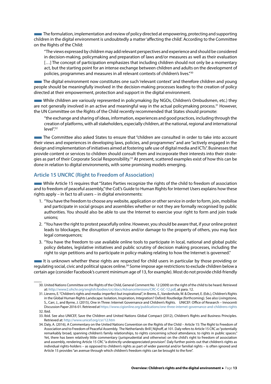**The formulation, implementation and review of policy directed at empowering, protecting and supporting** children in the digital environment is undoubtedly a matter 'affecting the child'. According to the Committee on the Rights of the Child:

"The views expressed by children may add relevant perspectives and experience and should be considered in decision-making, policymaking and preparation of laws and/or measures as well as their evaluation [...] The concept of participation emphasizes that including children should not only be a momentary act, but the starting point for an intense exchange between children and adults on the development of policies, programmes and measures in all relevant contexts of children's lives."30

■The digital environment now constitutes one such 'relevant context' and therefore children and young people should be meaningfully involved in the decision-making processes leading to the creation of policy directed at their empowerment, protection and support in the digital environment.

■While children are variously represented in policymaking (by NGOs, Children's Ombudsmen, etc.) they are not generally involved in an active and meaningful way in the actual policymaking process.<sup>31</sup> However, the UN Committee on the Rights of the Child recently recommended that States should promote:

"the exchange and sharing of ideas, information, experiences and good practices, including through the creation of platforms, with all stakeholders, especially children, at the national, regional and international level".32

■The Committee also asked States to ensure that "children are consulted in order to take into account their views and experiences in developing laws, policies, and programmes" and are "actively engaged in the design and implementation of initiatives aimed at fostering safe use of digital media and ICTs". Businesses that provide content or services to children should consult them and incorporate their interests into their strategies as part of their Corporate Social Responsibility.<sup>33</sup> At present, scattered examples exist of how this can be done in relation to digital environments, with some promising models emerging.

## **Article 15 UNCRC (Right to Freedom of Association)**

While Article 15 requires that "States Parties recognize the rights of the child to freedom of association and to freedom of peaceful assembly," the CoE's Guide to Human Rights for Internet Users explains how these rights apply – in fact to all users – in digital environments:

- 1. "You have the freedom to choose any website, application or other service in order to form, join, mobilise and participate in social groups and assemblies whether or not they are formally recognised by public authorities. You should also be able to use the Internet to exercise your right to form and join trade unions;
- 2. "You have the right to protest peacefully online. However, you should be aware that, if your online protest leads to blockages, the disruption of services and/or damage to the property of others, you may face legal consequences;
- 3. "You have the freedom to use available online tools to participate in local, national and global public policy debates, legislative initiatives and public scrutiny of decision making processes, including the right to sign petitions and to participate in policy-making relating to how the Internet is governed."

■It is unknown whether these rights are respected for child users in particular by those providing or regulating social, civic and political spaces online.34 Some impose age restrictions to exclude children below a certain age (consider Facebook's current minimum age of 13, for example). Most do not provide child-friendly

<sup>30.</sup> United Nations Committee on the Rights of the Child, General Comment No. 12 (2009) on the right of the child to be heard. Retrieved at: <http://www2.ohchr.org/english/bodies/crc/docs/AdvanceVersions/CRC-C-GC-12.pdf>, at para. 12.

<sup>31.</sup> Lievens, E. "Children's rights and media: imperfect but inspirational", in Brems, E., Vandenhole, W. & Desmet, E. (Eds.), Children's Rights in the Global Human Rights Landscape: Isolation, Inspiration, Integration? Oxford: Routledge (forthcoming). See also Livingstone, S., Carr, J., and Byrne, J. (2015), One in Three: Internet Governance and Children's Rights. UNICEF: Office of Research – Innocenti Discussion Paper 2016-01. Retrieved at<https://www.cigionline.org/publications/one-three-internet-governance-and-childrens-rights> 32. Ibid.

<sup>33.</sup> Ibid. See also UNICEF, Save the Children and United Nations Global Compact (2012), Children's Rights and Business Principles. Retrieved at:<http://www.unicef.org/csr/12.htm>

<sup>34.</sup> Daly, A. (2016), A Commentary on the United Nations Convention on the Rights of the Child – Article 15: The Right to Freedom of Association and to Freedom of Peaceful Assembly. The Netherlands: Brill | Nijhoff, at 101. Daly refers to Article 15 CRC as "potentially remarkably broad, spanning children's family relationships, to rights concerning school attendance, to rights in public spaces." Yet, there has been relatively little commentary (jurisprudential and otherwise) on the child's right to freedom of association and assembly, rendering Article 15 CRC "a distinctly underappreciated provision". Daly further points out that children's rights as individual rights-holders – as opposed to children's rights as part of wider parental and/or familial rights – is often ignored and Article 15 provides "an avenue through which children's freedom rights can be brought to the fore".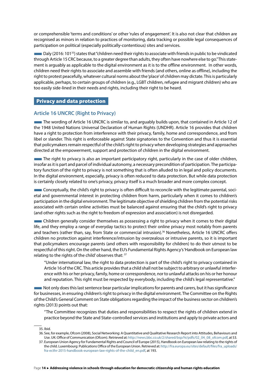<span id="page-14-0"></span>or comprehensible 'terms and conditions' or other 'rules of engagement'. It is also not clear that children are recognised as minors in relation to practices of monitoring, data tracking or possible legal consequences of participation on political (especially politically-contentious) sites and services.

■Daly (2016: 10135) states that "children need their rights to associate with friends in public to be vindicated through Article 15 CRC because, to a greater degree than adults, they often have nowhere else to go." This statement is arguably as applicable to the digital environment as it is to the offline environment. In other words, children need their rights to associate and assemble with friends (and others, online as offline), including the right to protest peacefully, whatever cultural norms about the 'place' of children may dictate. This is particularly applicable, perhaps, to certain groups of children (e.g., LGBT children, refugee and migrant children) who are too easily side-lined in their needs and rights, including their right to be heard.

## Privacy and data protection

## **Article 16 UNCRC (Right to Privacy)**

The wording of Article 16 UNCRC is similar to, and arguably builds upon, that contained in Article 12 of the 1948 United Nations Universal Declaration of Human Rights (UNDHR). Article 16 provides that children have a right to protection from interference with their privacy, family, home and correspondence, and from libel or slander. This right is enforceable against State signatories to the Convention and thus it is essential that policymakers remain respectful of the child's right to privacy when developing strategies and approaches directed at the empowerment, support and protection of children in the digital environment.

The right to privacy is also an important participatory right, particularly in the case of older children, insofar as it is part and parcel of individual autonomy, a necessary precondition of participation. The participatory function of the right to privacy is not something that is often alluded to in legal and policy documents. In the digital environment, especially, privacy is often reduced to data protection. But while data protection is certainly closely related to one's privacy, privacy itself is a much broader and more complex concept.

**EXECONCEDED** Conceptually, the child's right to privacy is often difficult to reconcile with the legitimate parental, societal and governmental interest in protecting children from harm, particularly when it comes to children's participation in the digital environment. The legitimate objective of shielding children from the potential risks associated with certain online activities must be balanced against ensuring that the child's right to privacy (and other rights such as the right to freedom of expression and association) is not disregarded.

**EXECUTE:** Children generally consider themselves as possessing a right to privacy when it comes to their digital life, and they employ a range of everyday tactics to protect their online privacy most notably from parents and teachers (rather than, say, from State or commercial intrusion).<sup>36</sup> Nonetheless, Article 16 UNCRC offers children no protection against interference/intrusion by overzealous or intrusive parents, so it is important that policymakers encourage parents (and others with responsibility for children) to do their utmost to be respectful of this right. On the other hand, the EU's Fundamental Rights Agency's 'Handbook on European law relating to the rights of the child' observes that: 37

"Under international law, the right to data protection is part of the child's right to privacy contained in Article 16 of the CRC. This article provides that a child shall not be subject to arbitrary or unlawful interference with his or her privacy, family, home or correspondence, nor to unlawful attacks on his or her honour and reputation. This right must be respected by everybody, including the child's legal representative."

■Not only does this last sentence bear particular implications for parents and carers, but it has significance for businesses, in ensuring children's right to privacy in the digital environment. The Committee on the Rights of the Child's General Comment on State obligations regarding the impact of the business sector on children's rights (2013) points out that:

"The Committee recognizes that duties and responsibilities to respect the rights of children extend in practice beyond the State and State-controlled services and institutions and apply to private actors and

35. Ibid.

36. See, for example, Ofcom (2008), Social Networking: A Quantitative and Qualitative Research Report into Attitudes, Behaviours and Use. UK: Office of Communication (Ofcom). Retrieved at: [http://news.bbc.co.uk/2/shared/bsp/hi/pdfs/02\\_04\\_08\\_ofcom.pdf](http://news.bbc.co.uk/2/shared/bsp/hi/pdfs/02_04_08_ofcom.pdf), at 53.

<sup>37.</sup> European Union Agency for Fundamental Rights and Council of Europe (2015), Handbook on European law relating to the rights of the child. Luxembourg: Publications Office of the European Union. Retrieved at: [http://fra.europa.eu/sites/default/files/fra\\_uploads/](http://fra.europa.eu/sites/default/files/fra_uploads/fra-ecthr-2015-handbook-european-law-rights-of-the-child_en.pdf) [fra-ecthr-2015-handbook-european-law-rights-of-the-child\\_en.pdf](http://fra.europa.eu/sites/default/files/fra_uploads/fra-ecthr-2015-handbook-european-law-rights-of-the-child_en.pdf), at 193.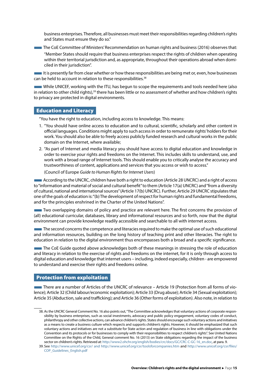<span id="page-15-0"></span>business enterprises. Therefore, all businesses must meet their responsibilities regarding children's rights and States must ensure they do so."

**The CoE Committee of Ministers' Recommendation on human rights and business (2016) observes that:** 

"Member States should require that business enterprises respect the rights of children when operating within their territorial jurisdiction and, as appropriate, throughout their operations abroad when domiciled in their jurisdiction".

It is presently far from clear whether or how these responsibilities are being met or, even, how businesses can be held to account in relation to these responsibilities.<sup>38</sup>

■While UNICEF, working with the ITU, has begun to scope the requirements and tools needed here (also in relation to other child rights),<sup>39</sup> there has been little or no assessment of whether and how children's rights to privacy are protected in digital environments.

## Education and Literacy

"You have the right to education, including access to knowledge. This means:

- 1. "You should have online access to education and to cultural, scientific, scholarly and other content in official languages. Conditions might apply to such access in order to remunerate rights' holders for their work. You should also be able to freely access publicly funded research and cultural works in the public domain on the Internet, where available;
- 2. "As part of Internet and media literacy you should have access to digital education and knowledge in order to exercise your rights and freedoms on the Internet. This includes skills to understand, use, and work with a broad range of Internet tools. This should enable you to critically analyse the accuracy and trustworthiness of content, applications and services that you access or wish to access."

(Council of Europe *Guide to Human Rights for Internet Users*)

■According to the UNCRC, children have both a right to education (Article 28 UNCRC) and a right of access to "information and material of social and cultural benefit" to them (Article 17(a) UNCRC) and "from a diversity of cultural, national and international sources" (Article 17(b) UNCRC). Further, Article 29 UNCRC stipulates that one of the goals of education is: "(b) The development of respect for human rights and fundamental freedoms, and for the principles enshrined in the Charter of the United Nations".

**Two overlapping domains of policy and practice are relevant here. The first concerns the provision of** (all) educational curricular, databases, library and informational resources and so forth, now that the digital environment can provide knowledge readily accessible and searchable to all with internet access.

**The second concerns the competence and literacies required to make the optimal use of such educational** and information resources, building on the long history of teaching print and other literacies. The right to education in relation to the digital environment thus encompasses both a broad and a specific significance.

■The CoE Guide quoted above acknowledges both of these meanings in stressing the role of education and literacy in relation to the exercise of rights and freedoms on the internet, for it is only through access to digital education and knowledge that internet users – including, indeed especially, children - are empowered to understand and exercise their rights and freedoms online.

## Protection from exploitation

■There are a number of Articles of the UNCRC of relevance – Article 19 (Protection from all forms of violence); Article 32 (Child labour/economic exploitation); Article 33 (Drug abuse); Article 34 (Sexual exploitation); Article 35 (Abduction, sale and trafficking); and Article 36 (Other forms of exploitation). Also note, in relation to

<sup>38.</sup> As the UNCRC General Comment No. 16 also points out, "The Committee acknowledges that voluntary actions of corporate responsibility by business enterprises, such as social investments, advocacy and public policy engagement, voluntary codes of conduct, philanthropy and other collective actions, can advance children's rights. States should encourage such voluntary actions and initiatives as a means to create a business culture which respects and supports children's rights. However, it should be emphasized that such voluntary actions and initiatives are not a substitute for State action and regulation of business in line with obligations under the Convention and its protocols or for businesses to comply with their responsibilities to respect children's rights". See United Nations Committee on the Rights of the Child, General comment No. 16 (2013) on State obligations regarding the impact of the business sector on children's rights. Retrieved at: [http://www2.ohchr.org/english/bodies/crc/docs/GC/CRC-C-GC-16\\_en.doc,](http://www2.ohchr.org/english/bodies/crc/docs/GC/CRC-C-GC-16_en.doc) at para. 9.

<sup>39.</sup> See <http://www.unicef.org/csr/>and <http://www.unicef.org/csr/toolsforcompanies.htm> and [http://www.unicef.org/csr/files/](http://www.unicef.org/csr/files/COP_Guidelines_English.pdf) [COP\\_Guidelines\\_English.pdf](http://www.unicef.org/csr/files/COP_Guidelines_English.pdf)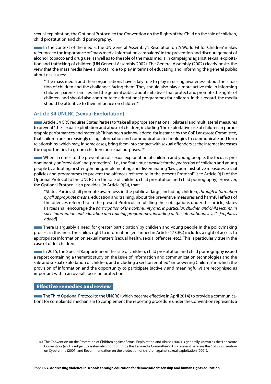<span id="page-16-0"></span>sexual exploitation, the Optional Protocol to the Convention on the Rights of the Child on the sale of children, child prostitution and child pornography.

■In the context of the media, the UN General Assembly's Resolution on 'A World Fit for Children' makes reference to the importance of "mass media information campaigns" in the prevention and discouragement of alcohol, tobacco and drug use, as well as to the role of the mass media in campaigns against sexual exploitation and trafficking of children (UN General Assembly 2002). The General Assembly (2002) clearly posits the view that the mass media have a pivotal role to play in terms of educating and informing the general public about risk issues:

"The mass media and their organizations have a key role to play in raising awareness about the situation of children and the challenges facing them. They should also play a more active role in informing children, parents, families and the general public about initiatives that protect and promote the rights of children, and should also contribute to educational programmes for children. In this regard, the media should be attentive to their influence on children."

## **Article 34 UNCRC (Sexual Exploitation)**

■Article 34 CRC requires States Parties to "take all appropriate national, bilateral and multilateral measures to prevent" the sexual exploitation and abuse of children, including "the exploitative use of children in pornographic performances and materials." It has been acknowledged, for instance by the CoE Lanzarote Committee, that children are increasingly using information and communication technologies to communicate and form relationships, which may, in some cases, bring them into contact with sexual offenders as the internet increases the opportunities to groom children for sexual purposes. 40

■When it comes to the prevention of sexual exploitation of children and young people, the focus is predominantly on 'provision' and 'protection' – i.e., the State must *provide* for the *protection* of children and young people by adopting or strengthening, implementing and disseminating "laws, administrative measures, social policies and programmes to prevent the offences referred to in the present Protocol" (see Article 9(1) of the Optional Protocol to the UNCRC on the sale of children, child prostitution and child pornography). However, the Optional Protocol also provides (in Article 9(2)), that:

"States Parties shall promote awareness in the public at large, including children, *through information by all appropriate means*, education and training, about the preventive measures and harmful effects of the offences referred to in the present Protocol. In fulfilling their obligations under this article, States Parties shall encourage the *participation of the community and, in particular, children and child victims, in such information and education and training programmes, including at the international level*." [*Emphasis added*]

There is arguably a need for greater 'participation' by children and young people in the policymaking process in this area. The child's right to information (enshrined in Article 17 CRC) includes a right of access to appropriate information on sexual matters (sexual health, sexual offences, etc.). This is particularly true in the case of older children.

In 2015, the Special Rapporteur on the sale of children, child prostitution and child pornography issued a report containing a thematic study on the issue of information and communication technologies and the sale and sexual exploitation of children, and including a section entitled "Empowering Children" in which the provision of information and the opportunity to participate (actively and meaningfully) are recognised as important within an overall focus on protection.

#### Effective remedies and review

The Third Optional Protocol to the UNCRC (which became effective in April 2014) to provide a communications [or complaints] mechanism to complement the reporting procedure under the Convention represents a

<sup>40.</sup> The Convention on the Protection of Children against Sexual Exploitation and Abuse (2007) is generally known as the 'Lanzarote Convention' (and is subject to systematic monitoring by the 'Lanzarote Committee'). Also relevant here are the CoE's Convention on Cybercrime (2001) and Recommendation on the protection of children against sexual exploitation (2001).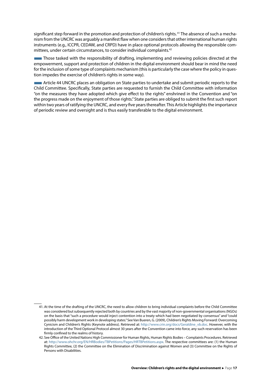significant step forward in the promotion and protection of children's rights. 41 The absence of such a mechanism from the UNCRC was arguably a manifest flaw when one considers that other international human rights instruments (e.g., ICCPR, CEDAW, and CRPD) have in place optional protocols allowing the responsible committees, under certain circumstances, to consider individual complaints.42

**Those tasked with the responsibility of drafting, implementing and reviewing policies directed at the** empowerment, support and protection of children in the digital environment should bear in mind the need for the inclusion of some type of complaints mechanism (this is particularly the case where the policy in question impedes the exercise of children's rights in some way).

■Article 44 UNCRC places an obligation on State parties to undertake and submit periodic reports to the Child Committee. Specifically, State parties are requested to furnish the Child Committee with information "on the measures they have adopted which give effect to the rights" enshrined in the Convention and "on the progress made on the enjoyment of those rights." State parties are obliged to submit the first such report within two years of ratifying the UNCRC, and every five years thereafter. This Article highlights the importance of periodic review and oversight and is thus easily transferable to the digital environment.

<sup>41.</sup> At the time of the drafting of the UNCRC, the need to allow children to bring individual complaints before the Child Committee was considered but subsequently rejected both by countries and by the vast majority of non-governmental organisations (NGOs) on the basis that "such a procedure would inject contention into a treaty which had been negotiated by consensus" and "could possibly harm development work in developing states." See Van Bueren, G. (2009), Children's Rights Moving Forward: Overcoming Cynicism and Children's Rights (Keynote address). Retrieved at: [http://www.crin.org/docs/Geraldine\\_vb.doc.](http://www.crin.org/docs/Geraldine_vb.doc) However, with the introduction of the Third Optional Protocol almost 30 years after the Convention came into force, any such reservation has been firmly confined to the realms of history.

<sup>42.</sup> See Office of the United Nations High Commissioner for Human Rights, Human Rights Bodies – Complaints Procedures. Retrieved at: <http://www.ohchr.org/EN/HRBodies/TBPetitions/Pages/HRTBPetitions.aspx>. The respective committees are: (1) the Human Rights Committee, (2) the Committee on the Elimination of Discrimination against Women and (3) Committee on the Rights of Persons with Disabilities.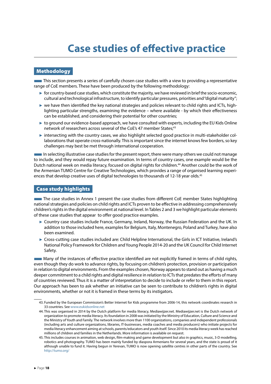# **Case studies of effective practice**

## <span id="page-18-0"></span>**Methodology**

This section presents a series of carefully chosen case studies with a view to providing a representative range of CoE members. These have been produced by the following methodology:

- ► for country-based case studies, which constitute the majority, we have reviewed in brief the socio-economic, cultural and technological infrastructure, to identify particular pressures, priorities and "digital maturity";
- ► we have then identified the key national strategies and policies relevant to child rights and ICTs, highlighting particular strengths, examining the evidence – where available - by which their effectiveness can be established, and considering their potential for other countries;
- ► to ground our evidence-based approach, we have consulted with experts, including the EU Kids Online network of researchers across several of the CoE's 47 member States;<sup>43</sup>
- ► intersecting with the country cases, we also highlight selected good practice in multi-stakeholder collaborations that operate cross-nationally. This is important since the internet knows few borders, so key challenges may best be met through international cooperation.

■In selecting illustrative case studies for the present report, there were many others we could not manage to include, and they would repay future examination. In terms of country cases, one example would be the Dutch national week on media literacy, focused on digital rights for children.<sup>44</sup> Another could be the work of the Armenian TUMO Centre for Creative Technologies, which provides a range of organised learning experiences that develop creative uses of digital technologies to thousands of 12-18 year olds.<sup>45</sup>

## Case study highlights

**The case studies in Annex 1 present the case studies from different CoE member States highlighting** national strategies and policies on child rights and ICTs proven to be effective in addressing comprehensively children's rights in the digital environment at national level. In Tables 2 and 3 we highlight particular elements of these case studies that appear to offer good practice examples.

- ► Country case studies include France, Germany, Ireland, Norway, the Russian Federation and the UK. In addition to those included here, examples for Belgium, Italy, Montenegro, Poland and Turkey, have also been examined.
- ► Cross-cutting case studies included are: Child Helpline International, the Girls in ICT Initiative, Ireland's National Policy Framework for Children and Young People 2014-20 and the UK Council for Child Internet Safety.

■Many of the instances of effective practice identified are not explicitly framed in terms of child rights, even though they do work to advance rights, by focusing on children's protection, provision or participation in relation to digital environments. From the examples chosen, Norway appears to stand out as having a much deeper commitment to a child rights and digital resilience in relation to ICTs that predates the efforts of many of countries reviewed. Thus it is a matter of interpretation to decide to include or refer to them in this report. Our approach has been to ask whether an initiative can be seen to contribute to children's rights in digital environments, whether or not it is framed in these terms by its instigators.

<sup>43.</sup> Funded by the European Commission's Better Internet for Kids programme from 2006-14, this network coordinates research in 33 countries. See [www.eukidsonline.net](http://www.eukidsonline.net)

<sup>44.</sup> This was organised in 2014 by the Dutch platform for media literacy, Mediawijzer.net. Mediawijzer.net is the Dutch network of organization to promote media literacy. Its foundation in 2008 was initiated by the Ministry of Education, Culture and Science and the Ministry of Youth and Family. The network involves more than 1100 organizations, companies and independent professionals (including arts and culture organizations, libraries, IT-businesses, media coaches and media producers) who initiate projects for media literacy enhancement aiming at schools, parents/educators and youth itself. Since 2010 its media literacy week has reached millions of children and families in the Netherlands. More information is available on request.

<sup>45.</sup> This includes courses in animation, web design, film-making and game development but also in graphics, music, 3-D modelling, robotics and photography. TUMO has been mainly funded by diaspora Armenians for several years, and the state is proud of it although unable to fund it. Having begun in Yerevan, TUMO is now opening satellite centres in other parts of the country. See <http://tumo.org/>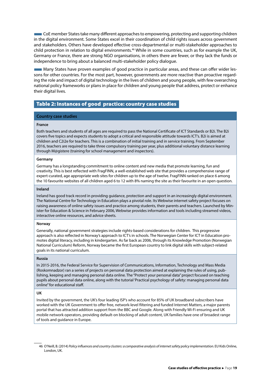<span id="page-19-0"></span>**EXECOE** member States take many different approaches to empowering, protecting and supporting children in the digital environment. Some States excel in their coordination of child rights issues across government and stakeholders. Others have developed effective cross-departmental or multi-stakeholder approaches to child protection in relation to digital environments.<sup>46</sup> While in some countries, such as for example the UK, Germany or France, there are strong NGO organisations, in others there are fewer, or they lack the funds or independence to bring about a balanced multi-stakeholder policy dialogue.

■Many States have proven examples of good practice in particular areas, and these can offer wider lessons for other countries. For the most part, however, governments are more reactive than proactive regarding the role and impact of digital technology in the lives of children and young people, with few overarching national policy frameworks or plans in place for children and young people that address, protect or enhance their digital lives.

## Table 2: Instances of good practice: country case studies

#### **Country case studies**

#### **France**

Both teachers and students of all ages are required to pass the National Certificate of ICT Standards or B2i. The B2i covers five [topics](http://media.eduscol.education.fr/file/Certification_B2i/20/0/Referentiel_B2i_ecole_decembre_2011_201200.pdf) and expects students to adopt a critical and responsible attitude towards ICT's. B2i is aimed at children and C2i2e for teachers. This is a combination of initial training and in service training. From September 2016, teachers are required to take three compulsory training per year, plus additional voluntary distance learning through M@gistere (training for school management and inspectors).

#### **Germany**

Germany has a longstanding commitment to online content and new media that promote learning, fun and creativity. This is best reflected with FragFINN, a well-established web site that provides a comprehensive range of expert-curated, age appropriate web sites for children up to the age of twelve. FragFINN ranked on place 6 among the 10 favourite websites of all children aged 6 to 12 with 8% naming the site as their favourite in an open question.

#### **Ireland**

Ireland has good track record in providing guidance, protection and support in an increasingly digital environment. The National Centre for Technology in Education plays a pivotal role. Its Webwise internet safety project focuses on raising awareness of online safety issues and practice among students, their parents and teachers. Launched by Minister for Education & Science in February 2006, Webwise provides information and tools including streamed videos, interactive online resources, and advice sheets.

#### **Norway**

Generally, national government strategies include rights-based considerations for children. This progressive approach is also reflected in Norway's approach to ICT's in schools. The [Norwegian Center for ICT in Education](https://iktsenteret.no/) promotes digital literacy, including in kindergarten. As far back as 2006, through its Knowledge Promotion (Norwegian National Curriculum) Reform, Norway [became](https://www.idunn.no/dk/2013/01-02/synergies_for_better_learning_where_are_we_now) the first European country to link digital skills with subject-related goals in its [national curriculum](http://www.udir.no/kl06/INF1-01).

#### **Russia**

In 2015-2016, the Federal Service for Supervision of Communications, Information, Technology and Mass Media (Roskomnadzor) ran a series of projects on personal data protection aimed at explaining the rules of using, publishing, keeping and managing personal data online. The "Protect your personal data" project focused on teaching pupils about personal data online, along with the tutorial 'Practical psychology of safety: managing personal data online" for educational staff.

#### **UK**

Invited by the government, the UK's four leading ISP's who account for 85% of UK broadband subscribers have worked with the UK Government to offer free, network-level filtering and funded Internet Matters, a major parents portal that has attracted addition support from the BBC and Google. Along with Friendly Wi-Fi ensuring and UK mobile network operators, providing default-on blocking of adult content, UK families have one of broadest range of tools and guidance in Europe.

<sup>46</sup> O'Neill, B. (2014) *Policy influences and country clusters: a comparative analysis of internet safety policy implementation.* EU Kids Online, London, UK.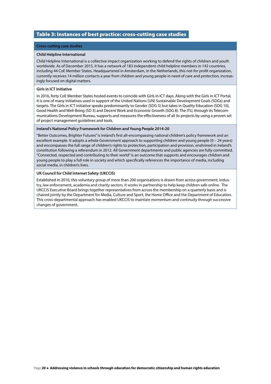### <span id="page-20-0"></span>Table 3: Instances of best practice: cross-cutting case studies

#### **Cross-cutting case studies**

#### **Child Helpline International**

Child Helpline International is a collective impact organization working to defend the rights of children and youth worldwide. As of December 2015, it has a network of 183 independent child helpline members in 142 countries, including 44 CoE Member States. Headquartered in Amsterdam, in the Netherlands, this not-for profit organization, currently receives 14 million contacts a year from children and young people in need of care and protection, increasingly focused on digital matters.

#### **Girls in ICT Initiative**

In 2016, forty CoE Member States hosted events to coincide with Girls in ICT days. Along with the Girls in ICT Portal, it is one of many initiatives used in support of the United Nations (UN) Sustainable Development Goals (SDGs) and targets. The Girls in ICT initiative speaks predominantly to Gender (SDG 5) but takes in Quality Education (SDG 10), Good Health and Well-Being (SD 3) and Decent Work and Economic Growth (SDG 8). The ITU, through its Telecommunications Development Bureau, supports and measures the effectiveness of all its projects by using a proven set of project management guidelines and tools.

#### **Ireland's National Policy Framework for Children and Young People 2014-20**

"Better Outcomes, Brighter Futures" is Ireland's first all-encompassing national children's policy framework and an excellent example. It adopts a whole Government approach to supporting children and young people (0 – 24 years) and encompasses the full range of children's rights to protection, participation and provision, enshrined in Ireland's constitution following a referendum in 2012. All Government departments and public agencies are fully committed. "Connected, respected and contributing to their world" is an outcome that supports and encourages children and young people to play a full role in society and which specifically references the importance of media, including social media, in children's lives.

#### **UK Council for Child Internet Safety (UKCCIS)**

Established in 2010, this voluntary group of more than 200 organisations is drawn from across government, industry, law enforcement, academia and charity sectors. It works in partnership to help keep children safe online. The UKCCIS Executive Board brings together representatives from across the membership on a quarterly basis and is chaired jointly by the Department for Media, Culture and Sport, the Home Office and the Department of Education. This cross-departmental approach has enabled UKCCIS to maintain momentum and continuity through successive changes of government.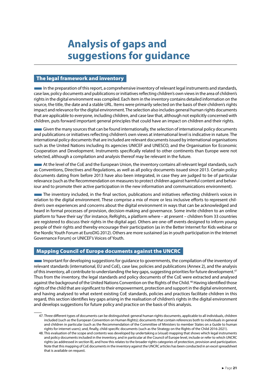# <span id="page-21-0"></span>**Analysis of gaps and suggestions for guidance**

## The legal framework and inventory

 $\blacksquare$  In the preparation of this report, a comprehensive inventory of relevant legal instruments and standards, case law, policy documents and publications or initiatives reflecting children's own views in the area of children's rights in the digital environment was compiled. Each item in the inventory contains detailed information on the source, the title, the date and a stable URL. Items were primarily selected on the basis of their children's rights impact and relevance for the digital environment. The selection also includes general human rights documents that are applicable to everyone, including children, and case law that, although not explicitly concerned with children, puts forward important general principles that could have an impact on children and their rights.

■Given the many sources that can be found internationally, the selection of international policy documents and publications or initiatives reflecting children's own views at international level is indicative in nature. The international policy documents that are included are relevant documents issued by international organisations such as the United Nations including its agencies UNICEF and UNESCO, and the Organisation for Economic Cooperation and Development. Instruments specifically related to other continents than Europe were not selected, although a compilation and analysis thereof may be relevant in the future.

**At the level of the CoE and the European Union, the inventory contains all relevant legal standards, such and** as Conventions, Directives and Regulations, as well as all policy documents issued since 2013. Certain policy documents dating from before 2013 have also been integrated, in case they are judged to be of particular relevance (such as the Recommendation on measures to protect children against harmful content and behaviour and to promote their active participation in the new information and communications environment).

■The inventory included, in the final section, publications and initiatives reflecting children's voices in relation to the digital environment. These comprise a mix of more or less inclusive efforts to represent children's own experiences and concerns about the digital environment in ways that can be acknowledged and heard in formal processes of provision, decision-making and governance. Some invite children to an online platform to 'have their say' (for instance, ReRights, a platform where – at present – children from 33 countries are registered to discuss their rights in the digital age). Others are one-off events designed to inform young people of their rights and thereby encourage their participation (as in the Better Internet for Kids webinar or the Nordic Youth Forum at EuroDIG 2012). Others are more sustained (as in youth participation in the Internet Governance Forum) or UNICEF's Voices of Youth.

## Mapping Council of Europe documents against the UNCRC

■Important for developing suggestions for guidance to governments, the compilation of the inventory of relevant standards (international, EU and CoE), case law, policies and publications (Annex 2), and the analysis of this inventory, all contribute to understanding the key gaps, suggesting priorities for future development.<sup>47</sup> Thus from the inventory, the legal standards and policy documents of the CoE were extracted and analysed against the background of the United Nations Convention on the Rights of the Child.<sup>48</sup> Having identified those rights of the child that are significant to their empowerment, protection and support in the digital environment, and having analysed to what extent existing CoE standards, policies and practices facilitate children in this regard, this section identifies key gaps arising in the realisation of children's rights in the digital environment and develops suggestions for future policy and practice on the basis of this analysis.

<sup>47.</sup> Three different types of documents can be distinguished: general human rights documents, applicable to all individuals, children included (such as the European Convention on Human Rights); documents that contain references both to individuals in general and children in particular (such as the Recommendation of the Committee of Ministers to member States on a Guide to human rights for internet users); and, finally, child-specific documents (such as the Strategy on the Rights of the Child 2016-2021).

<sup>48.</sup> This evaluation of the scope and contents was developed by undertaking a (visual) mapping that shows which legal instruments and policy documents included in the inventory, and in particular at the Council of Europe level, include or refer to which UNCRC rights (as addressed in section B), and how this relates to the broader rights categories of protection, provision and participation. Note that this mapping of CoE documents in the inventory against the UNCRC articles has been conducted in an excel spreadsheet that is available on request.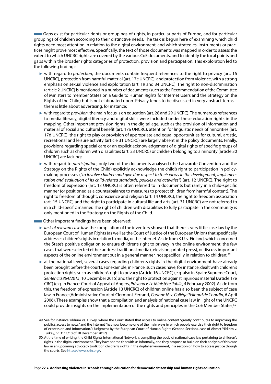Gaps exist for particular rights or groupings of rights, in particular parts of Europe, and for particular groupings of children according to their distinctive needs. The task is begun here of examining which child rights need most attention in relation to the digital environment, and which strategies, instruments or practices might prove most effective. Specifically, the text of those documents was mapped in order to assess the extent to which UNCRC rights are covered by the various CoE documents, and to identify the focal points and gaps within the broader rights categories of protection, provision and participation. This exploration led to the following findings:

- ► with regard to *protection*, the documents contain frequent references to the right to privacy (art. 16 UNCRC), protection from harmful material (art. 17e UNCRC), and protection from violence, with a strong emphasis on sexual violence and exploitation (art. 19 and 34 UNCRC). The right to non-discrimination (article 2 UNCRC) is mentioned in a number of documents (such as the Recommendation of the Committee of Ministers to member States on a Guide to Human Rights for Internet Users and the Strategy on the Rights of the Child) but is not elaborated upon. Privacy tends to be discussed in very abstract terms – there is little about advertising, for instance;
- ► with regard to *provision*, the main focus is on education (art. 28 and 29 UNCRC). The numerous references to media literacy, digital literacy and digital skills were included under these education rights in the mapping. Other important provision rights in the digital age, such as the provision of information and material of social and cultural benefit (art. 17a UNCRC), attention for linguistic needs of minorities (art. 17d UNCRC), the right to play or provision of appropriate and equal opportunities for cultural, artistic, recreational and leisure activity (article 31 UNCRC) are largely absent in the policy documents. Finally, provisions regarding special care or an explicit acknowledgement of digital rights of specific groups of children such as children with disabilities (art. 23 UNCRC) or children belonging to a minority (article 30 UNCRC) are lacking;
- ► with regard to *participation*, only two of the documents analysed (the Lanzarote Convention and the Strategy on the Rights of the Child) explicitly acknowledge the child's right to participation in policymaking processes ("*to involve children and give due respect to their views in the development, implementation and evaluation of its child-related standards, policies and activities*") (art. 12 UNCRC). The right to freedom of expression (art. 13 UNCRC) is often referred to in documents but rarely in a child-specific manner (or positioned as a counterbalance to measures to protect children from harmful content). The right to freedom of thought, conscience and religion (art. 14 UNCRC), the right to freedom association (art. 15 UNCRC) and the right to participate in cultural life and arts (art. 31 UNCRC) are not referred to in a child-specific manner. The right of children with disabilities to fully participate in the community is only mentioned in the Strategy on the Rights of the Child.
- Other important findings have been observed:
- ► *lack of relevant case law*: the compilation of the inventory showed that there is very little case law by the European Court of Human Rights (as well as the Court of Justice of the European Union) that specifically addresses children's rights in relation to media, or the Internet. Aside from K.U. v. Finland, which concerned the State's positive obligation to ensure children's right to privacy in the online environment, the few cases that were selected either address traditional media (television, printed press), or discuss important aspects of the online environment but in a general manner, not specifically in relation to children; <sup>49</sup>
- ► at the national level, several cases regarding children's rights in the digital environment have already been brought before the courts. For example, in France, such cases have, for instance, dealt with children's protection rights, such as children's right to privacy (Article 16 UNCRC) (e.g. also in Spain: Supreme Court, *Sentencia 864/2015*, 10 December 2015) and the right to protection against injurious material (Article 17e CRC) (e.g. in France: Court of Appeal of Angers, *Prévenu v. Le Minist*è*re Public*, 4 February 2002). Aside from this, the freedom of expression (Article 13 UNCRC) of children online has also been the subject of case law in France (Administrative Court of Clermont-Ferrand, *Corinne N. v. Collége Teilhard de Chardin,* 6 April 2006). These examples show that a compilation and analysis of national case law in light of the UNCRC could provide insights on the implementation of the rights and principles in the CoE Member States;<sup>50</sup>

<sup>49.</sup> See for instance Yildirim vs. Turkey, where the Court stated that access to online content "greatly contributes to improving the public's access to news" and the Internet "has now become one of the main ways in which people exercise their right to freedom of expression and information." (Judgment by the European Court of Human Rights (Second Section), case of Ahmet Yildirim v. Turkey, nr. 3111/10 of 18 December 2012).

<sup>50.</sup> At the time of writing, the Child Rights International Network is compiling the body of national case law pertaining to children's rights in the digital environment. They have shared this with us informally, and they propose to build on their analysis of this case law in an upcoming advocacy toolkit on children's rights in the digital environment, in a section on how to access justice though the courts. See [https://www.crin.org/.](https://www.crin.org/)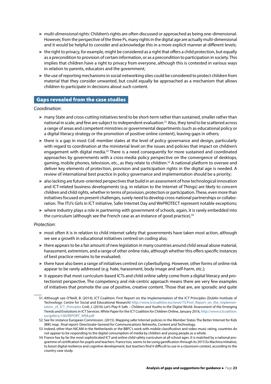- <span id="page-23-0"></span>► *multi-dimensional rights:* Children's rights are often discussed or approached as being one-dimensional. However, from the perspective of the three Ps, many rights in the digital age are actually multi-dimensional and it would be helpful to consider and acknowledge this in a more explicit manner at different levels;
- ► the right to privacy, for example, might be considered as a right that offers a child protection, but equally as a precondition to provision of certain information, or as a precondition to participation in society. This implies that children have a right to privacy from everyone, although this is contested in various ways in relation to parents, educators and the government;
- ► the use of reporting mechanisms in social networking sites could be considered to protect children from material that they consider unwanted, but could equally be approached as a mechanism that allows children to participate in decisions about such content.

## Gaps revealed from the case studies

#### *Coordination*:

- ► many State and cross-cutting initiatives tend to be short-term rather than sustained, smaller rather than national in scale, and few are subject to independent evaluation.51 Also, they tend to be scattered across a range of areas and competent ministries or governmental departments (such as educational policy or a digital literacy strategy or the promotion of positive online content), leaving gaps in others;
- $\triangleright$  there is a gap in most CoE member states at the level of policy governance and design, particularly with regard to coordination at the ministerial level on the issues and policies that impact on children's engagement with digital media.<sup>52</sup> There is a need consequently for more sustained and coordinated approaches by governments with a cross-media policy perspective on the convergence of desktops, gaming, mobile phones, television, etc., as they relate to children.<sup>53</sup> A national platform to oversee and deliver key elements of protection, provision and participation rights in the digital age is needed. A review of international best practice in policy governance and implementation should be a priority;
- ► also lacking are future-oriented perspectives that build in an assessment of how technological innovation and ICT-related business developments (e.g. in relation to the Internet of Things) are likely to concern children and child rights, whether in terms of provision, protection or participation. These, even more than initiatives focused on present challenges, surely need to develop cross-national partnerships or collaboration. The ITU's Girls in ICT initiative, Safer Internet Day and WePROTECT represent notable exceptions;
- ► where industry plays a role in partnering with government of schools, again, it is rarely embedded into the curriculum (although see the French case as an instance of good practice).<sup>54</sup>

#### *Protection*:

- ► most often it is in relation to child internet safety that governments have taken most action, although we see a growth in educational initiatives centred on coding also;
- ► there appears to be a fair amount of new legislation in many countries around child sexual abuse material, harassment, extremism, and a range of other online risks, although whether this offers specific instances of best practice remains to be evaluated;
- ► there have also been a range of initiatives centred on cyberbullying. However, other forms of online risk appear to be rarely addressed (e.g. hate, harassment, body image and self-harm, etc.);
- ► it appears that most curriculum-based ICTs and child online safety come from a digital literacy and protectionist perspective. The competency and risk-centric approach means there are very few examples of initiatives that promote the use of positive, creative content. Those that are, are sporadic and quite

<sup>51.</sup> Although see O'Neill, B. (2014), ICT Coalition: First Report on the Implementation of the ICT Principles (Dublin Institute of Technology: Centre for Social and Educational Research) [http://www.ictcoalition.eu/news/75/First\\_Report\\_on\\_the\\_implemen](http://www.ictcoalition.eu/news/75/First_Report_on_the_implementation_of_ICT_Principles)[tation\\_of\\_ICT\\_Principles](http://www.ictcoalition.eu/news/75/First_Report_on_the_implementation_of_ICT_Principles) Croll, J. (2016) Let's Play It Safe – Children and Youths in the Digital World. Assessment of the Emerging Trends and Evolutions in ICT Services. White Paper for the ICT Coalition for Children Online, January 2016, [http://www.ictcoalition.](http://www.ictcoalition.eu/gallery/100/REPORT_WEB.pdf) [eu/gallery/100/REPORT\\_WEB.pdf](http://www.ictcoalition.eu/gallery/100/REPORT_WEB.pdf)

<sup>52.</sup> See for instance European Commission. (2015). Mapping safer Internet policies in the Member States The Better Internet for Kids (BIK) map : final report. Directorate-General for Communications Networks, Content and Technology.

<sup>53.</sup> Indeed, other than NICAM in the Netherlands or the BBFC's work with mobile classification and video music rating, countries do not appear to be responding to the digital consumption of media by children and young people as a whole.

<sup>54.</sup> France has by far the most sophisticated ICT and online child safety curriculum at all school ages. It is matched by a national programme of certification for pupils and teachers. France too, seems to be using gamification through its 2015 Ex Machina initiative, to boost digital resilience and cognitive development, but teachers find it difficult to use in a classroom context, according to the country case study.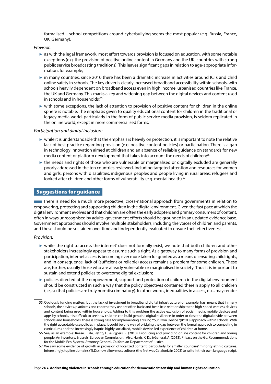<span id="page-24-0"></span>formalised – school competitions around cyberbullying seems the most popular (e.g. Russia, France, UK, Germany).

*Provision*:

- ► as with the legal framework, most effort towards provision is focused on education, with some notable exceptions (e.g. the provision of positive online content in Germany and the UK, countries with strong public service broadcasting traditions). This leaves significant gaps in relation to age-appropriate information, for example;
- ► in many countries, since 2010 there has been a dramatic increase in activities around ICTs and child online safety in schools. The key driver is clearly increased broadband accessibility within schools, with schools heavily dependent on broadband access even in high income, urbanised countries like France, the UK and Germany. This marks a key and widening gap between the digital devices and content used in schools and in households;<sup>55</sup>
- ► with some exceptions, the lack of attention to provision of positive content for children in the online sphere is notable. The emphasis given to quality educational content for children in the traditional or legacy media world, particularly in the form of public service media provision, is seldom replicated in the online world, except in more commercialised forms.

#### *Participation and digital inclusion:*

- $\triangleright$  while it is understandable that the emphasis is heavily on protection, it is important to note the relative lack of best practice regarding provision (e.g. positive content policies) or participation. There is a gap in technology innovation aimed at children and an absence of reliable guidance on standards for new media content or platform development that takes into account the needs of children;<sup>56</sup>
- $\triangleright$  the needs and rights of those who are vulnerable or marginalised or digitally excluded are generally poorly addressed in the ten countries reviewed, including targeted attention and resources for women and girls; persons with disabilities, indigenous peoples and people living in rural areas; refugees and looked after children and other forms of vulnerability (e.g. mental health).<sup>57</sup>

## Suggestions for guidance

There is need for a much more proactive, cross-national approach from governments in relation to empowering, protecting and supporting children in the digital environment. Given the fast pace at which the digital environment evolves and that children are often the early adopters and primary consumers of content, often in ways unrecognised by adults, government efforts should be grounded in an updated evidence base. Government approaches should involve multiple stakeholders, including the voices of children and parents, and these should be sustained over time and independently evaluated to ensure their effectiveness.

#### *Provision:*

- ► while 'the right to access the internet' does not formally exist, we note that both children and other stakeholders increasingly appear to assume such a right. As a gateway to many forms of provision and participation, internet access is becoming ever more taken for granted as a means of ensuring child rights, and in consequence, lack of (sufficient or reliable) access remains a problem for some children. These are, further, usually those who are already vulnerable or marginalised in society. Thus it is important to sustain and extend policies to overcome digital exclusion;
- ► policies directed at the empowerment, support and protection of children in the digital environment should be constructed in such a way that the policy objectives contained therein apply to all children (i.e., so that policies are truly non-discriminatory). In other words, inequalities in access, etc., may render

<sup>55.</sup> Obviously funding matters, but the lack of investment in broadband digital infrastructure for example, has meant that in many schools, the devices, platforms and content they use are often basic and bear little relationship to the high-speed wireless devices and content being used within households. Adding to this problem the active exclusion of social media, mobile devices and apps by schools, it is difficult to see how children can build genuine digital resilience. In order to close the digital divide between schools and households, there is strong case for implementing a "Bring Your Own Device "(BYOD) approach within schools. With the right acceptable use policies in place, it could be one way of bridging the gap between the formal approach to computing in curriculums and the increasingly haptic, highly socialized, mobile device-led experience of children at home.

<sup>56.</sup> See, as an example: Reese, L. de, Petito, L., & Pijpers, R. (2010). Producing and providing online content for children and young people: An inventory. Brussels: European Commission. Also, Harris, K. D., & General, A. (2013). Privacy on the Go. Recommendations for the Mobile Eco-System. Attorney General. Californian Department of Justice.

<sup>57.</sup> We saw some evidence of growth in provision of localized content, particularly for smaller countries' minority ethnic cultures. Interestingly, topline domains (TLDs) now allow most cultures (the first was Catalonia in 2003) to write in their own language script.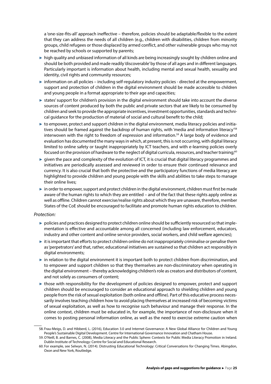a 'one-size-fits-all' approach ineffective – therefore, policies should be adaptable/flexible to the extent that they can address the needs of all children (e.g., children with disabilities, children from minority groups, child refugees or those displaced by armed conflict, and other vulnerable groups who may not be reached by schools or supported by parents;

- ► high quality and unbiased information of all kinds are being increasingly sought by children online and should be both provided and made readily 'discoverable' by those of all ages and in different languages. Particularly important is information about health, including mental and sexual health, sexuality and identity, civil rights and community resources;
- ► information on all policies including self-regulatory industry policies directed at the empowerment, support and protection of children in the digital environment should be made accessible to children and young people in a format appropriate to their age and capacities;
- ► states' support for children's provision in the digital environment should take into account the diverse sources of content produced by both the public and private sectors that are likely to be consumed by children and seek to provide the appropriate incentives, investment opportunities, standards and technical guidance for the production of material of social and cultural benefit to the child;
- $\triangleright$  to empower, protect and support children in the digital environment, media literacy policies and initiatives should be framed against the backdrop of human rights, with 'media and information literacy'<sup>58</sup> interwoven with the right to freedom of expression and information.59 A large body of evidence and evaluation has documented the many ways in which, at present, this is not occurring, with digital literacy limited to online safety or taught inappropriately by ICT teachers, and with e-learning policies overly focused on the provision of hardware to the neglect of digital curricula, resources, and teacher training;<sup>60</sup>
- $\triangleright$  given the pace and complexity of the evolution of ICT, it is crucial that digital literacy programmes and initiatives are periodically assessed and reviewed in order to ensure their continued relevance and currency. It is also crucial that both the protective and the participatory functions of media literacy are highlighted to provide children and young people with the skills and abilities to take steps to manage their online lives;
- ► in order to empower, support and protect children in the digital environment, children must first be made aware of the human rights to which they are entitled – and of the fact that these rights apply online as well as offline. Children cannot exercise/realise rights about which they are unaware, therefore, member States of the CoE should be encouraged to facilitate and promote human rights education to children.

#### *Protection:*

- ► policies and practices designed to protect children online should be sufficiently resourced so that implementation is effective and accountable among all concerned (including law enforcement, educators, industry and other content and online service providers, social workers, and child welfare agencies);
- ► it is important that efforts to protect children online do not inappropriately criminalise or penalise them as 'perpetrators' and that, rather, educational initiatives are sustained so that children act responsibly in digital environments;
- ► in relation to the digital environment it is important both to protect children from discrimination, and to empower and support children so that they themselves are non-discriminatory when operating in the digital environment – thereby acknowledging children's role as creators and distributors of content, and not solely as consumers of content;
- ► those with responsibility for the development of policies designed to empower, protect and support children should be encouraged to consider an educational approach to shielding children and young people from the risk of sexual exploitation (both online and offline). Part of this educative process necessarily involves teaching children how to avoid placing themselves at increased risk of becoming victims of sexual exploitation, as well as how to recognise such behaviour and manage their response. In the online context, children must be educated in, for example, the importance of non-disclosure when it comes to posting personal information online, as well as the need to exercise extreme caution when

<sup>58.</sup> Frau-Meigs, D. and Hibberd, L. (2016), Education 3.0 and Internet Governance: A New Global Alliance for Children and Young People's Sustainable Digital Development. Centre for International Governance Innovation and Chatham House.

<sup>59.</sup> O'Neill, B. and Barnes, C. (2008), Media Literacy and the Public Sphere: Contexts for Public Media Literacy Promotion in Ireland. Dublin Institute of Technology: Centre for Social and Educational Research.

<sup>60.</sup> For example, see Selwyn, N. (2014). Distrusting Educational Technology: Critical Conversations for Changing Times. Abingdon, Oxon and New York, Routledge.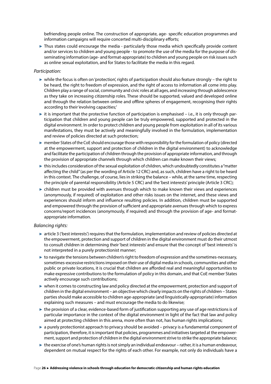befriending people online. The construction of appropriate, age- specific education programmes and information campaigns will require concerted multi-disciplinary efforts;

► Thus states could encourage the media - particularly those media which specifically provide content and/or services to children and young people - to promote the use of the media for the purpose of disseminating information (age- and format-appropriate) to children and young people on risk issues such as online sexual exploitation, and for States to facilitate the media in this regard.

#### *Participation:*

- ► while the focus is often on 'protection', rights of participation should also feature strongly the right to be heard, the right to freedom of expression, and the right of access to information all come into play. Children play a range of social, community and civic roles at all ages, and increasing through adolescence as they take on increasing citizenship roles. These should be supported, valued and developed online and through the relation between online and offline spheres of engagement, recognising their rights according to their 'evolving capacities;'
- $\triangleright$  it is important that the protective function of participation is emphasised i.e., it is only through participation that children and young people can be truly empowered, supported and protected in the digital environment. In order to protect children and young people from exploitation in all of its various manifestations, they must be actively and meaningfully involved in the formulation, implementation and review of policies directed at such protection;
- ► member States of the CoE should encourage those with responsibility for the formulation of policy (directed at the empowerment, support and protection of children in the digital environment) to acknowledge and facilitate the participation of children through the provision of appropriate information, and through the provision of appropriate channels through which children can make known their views;
- ► this includes consideration of the sexual exploitation of children, which undoubtedly constitutes a "matter affecting the child" (as per the wording of Article 12 CRC) and, as such, children have a right to be heard in this context. The challenge, of course, lies in striking the balance – while, at the same time, respecting the principle of parental responsibility (Article 5 CRC) and the 'best interests' principle (Article 3 CRC);
- $\triangleright$  children must be provided with avenues through which to make known their views and experiences (anonymously, if required) of exploitation and other risks issues on the internet, and these views and experiences should inform and influence resulting policies. In addition, children must be supported and empowered through the provision of sufficient and appropriate avenues through which to express concerns/report incidences (anonymously, if required) and through the provision of age- and formatappropriate information.

#### *Balancing rights:*

- ► article 3 ('best interests') requires that the formulation, implementation and review of policies directed at the empowerment, protection and support of children in the digital environment must do their utmost to consult children in determining their 'best interests' and ensure that the concept of 'best interests' is not interpreted in a purely protectionist manner;
- ► to navigate the tensions between children's right to freedom of expression and the sometimes-necessary, sometimes-excessive restrictions imposed on their use of digital media in schools, communities and other public or private locations, it is crucial that children are afforded real and meaningful opportunities to make expressive contributions to the formulation of policy in this domain, and that CoE member States actively encourage such contributions;
- ► when it comes to constructing law and policy directed at the empowerment, protection and support of children in the digital environment – an objective which clearly impacts on the rights of children – States parties should make accessible to children age-appropriate (and linguistically-appropriate) information explaining such measures – and must encourage the media to do likewise;
- ► the provision of a clear, evidence-based form of justification supporting any use of age restrictions is of particular importance in the context of the digital environment in light of the fact that law and policy aimed at protecting children in this arena, more often than not, has human rights implications;
- $\triangleright$  a purely protectionist approach to privacy should be avoided privacy is a fundamental component of participation, therefore, it is important that policies, programmes and initiatives targeted at the empowerment, support and protection of children in the digital environment strive to strike the appropriate balance;
- ► the exercise of one's human rights is not simply an individual endeavour rather, it is a human endeavour, dependent on mutual respect for the rights of each other. For example, not only do individuals have a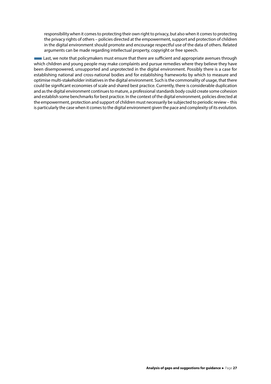responsibility when it comes to protecting their own right to privacy, but also when it comes to protecting the privacy rights of others – policies directed at the empowerment, support and protection of children in the digital environment should promote and encourage respectful use of the data of others. Related arguments can be made regarding intellectual property, copyright or free speech.

**Last, we note that policymakers must ensure that there are sufficient and appropriate avenues through** which children and young people may make complaints and pursue remedies where they believe they have been disempowered, unsupported and unprotected in the digital environment. Possibly there is a case for establishing national and cross-national bodies and for establishing frameworks by which to measure and optimise multi-stakeholder initiatives in the digital environment. Such is the commonality of usage, that there could be significant economies of scale and shared best practice. Currently, there is considerable duplication and as the digital environment continues to mature, a professional standards body could create some cohesion and establish some benchmarks for best practice. In the context of the digital environment, policies directed at the empowerment, protection and support of children must necessarily be subjected to periodic review – this is particularly the case when it comes to the digital environment given the pace and complexity of its evolution.